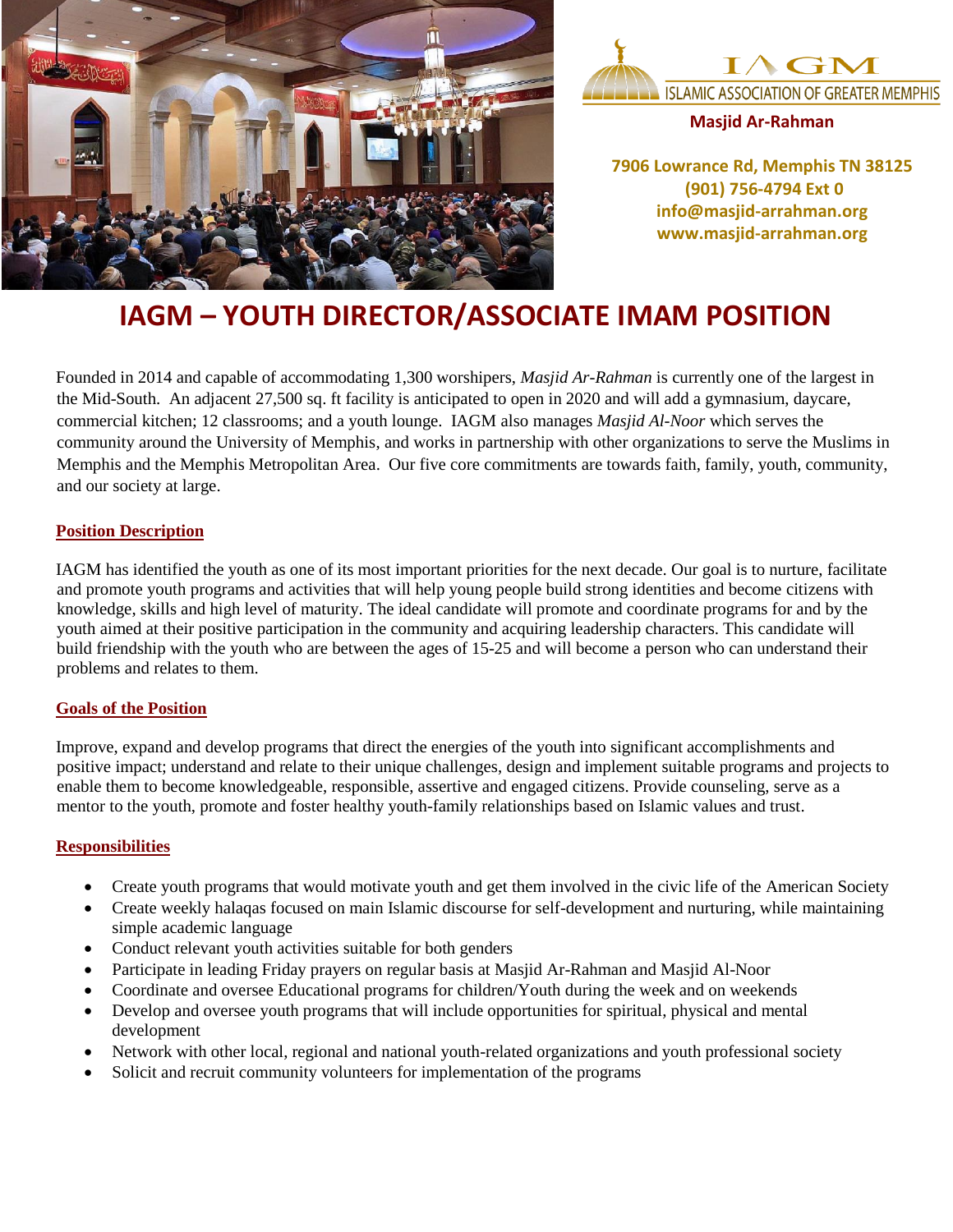



**Masjid Ar-Rahman**

**7906 Lowrance Rd, Memphis TN 38125 (901) 756-4794 Ext 0 info@masjid-arrahman.org www.masjid-arrahman.org**

# **IAGM – YOUTH DIRECTOR/ASSOCIATE IMAM POSITION**

Founded in 2014 and capable of accommodating 1,300 worshipers, *Masjid Ar-Rahman* is currently one of the largest in the Mid-South. An adjacent 27,500 sq. ft facility is anticipated to open in 2020 and will add a gymnasium, daycare, commercial kitchen; 12 classrooms; and a youth lounge. IAGM also manages *Masjid Al-Noor* which serves the community around the University of Memphis, and works in partnership with other organizations to serve the Muslims in Memphis and the Memphis Metropolitan Area. Our five core commitments are towards faith, family, youth, community, and our society at large.

# **Position Description**

IAGM has identified the youth as one of its most important priorities for the next decade. Our goal is to nurture, facilitate and promote youth programs and activities that will help young people build strong identities and become citizens with knowledge, skills and high level of maturity. The ideal candidate will promote and coordinate programs for and by the youth aimed at their positive participation in the community and acquiring leadership characters. This candidate will build friendship with the youth who are between the ages of 15-25 and will become a person who can understand their problems and relates to them.

### **Goals of the Position**

Improve, expand and develop programs that direct the energies of the youth into significant accomplishments and positive impact; understand and relate to their unique challenges, design and implement suitable programs and projects to enable them to become knowledgeable, responsible, assertive and engaged citizens. Provide counseling, serve as a mentor to the youth, promote and foster healthy youth-family relationships based on Islamic values and trust.

### **Responsibilities**

- Create youth programs that would motivate youth and get them involved in the civic life of the American Society
- Create weekly halaqas focused on main Islamic discourse for self-development and nurturing, while maintaining simple academic language
- Conduct relevant youth activities suitable for both genders
- Participate in leading Friday prayers on regular basis at Masjid Ar-Rahman and Masjid Al-Noor
- Coordinate and oversee Educational programs for children/Youth during the week and on weekends
- Develop and oversee youth programs that will include opportunities for spiritual, physical and mental development
- Network with other local, regional and national youth-related organizations and youth professional society
- Solicit and recruit community volunteers for implementation of the programs